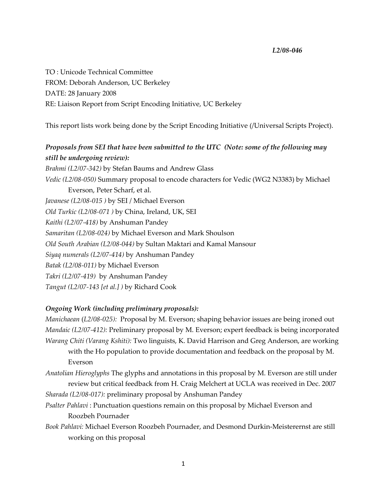## *L2/08‐046*

TO : Unicode Technical Committee FROM: Deborah Anderson, UC Berkeley DATE: 28 January 2008 RE: Liaison Report from Script Encoding Initiative, UC Berkeley

This report lists work being done by the Script Encoding Initiative (/Universal Scripts Project).

*Proposals from SEI that have been submitted to the UTC (Note: some of the following may still be undergoing review): Brahmi (L2/07‐342)* by Stefan Baums and Andrew Glass *Vedic (L2/08‐050)* Summary proposal to encode characters for Vedic (WG2 N3383) by Michael Everson, Peter Scharf, et al. *Javanese (L2/08‐015 )* by SEI / Michael Everson *Old Turkic (L2/08‐071 )* by China, Ireland, UK, SEI *Kaithi (L2/07‐418)* by Anshuman Pandey *Samaritan (L2/08‐024)* by Michael Everson and Mark Shoulson *Old South Arabian (L2/08‐044)* by Sultan Maktari and Kamal Mansour *Siyaq numerals (L2/07‐414)* by Anshuman Pandey *Batak (L2/08‐011)* by Michael Everson *Takri (L2/07‐419)* by Anshuman Pandey *Tangut (L2/07‐143 [et al.] )* by Richard Cook

## *Ongoing Work (including preliminary proposals):*

*Manichaean* (*L2/08‐025):* Proposal by M. Everson; shaping behavior issues are being ironed out *Mandaic (L2/07‐412):* Preliminary proposal by M. Everson; expert feedback is being incorporated *Warang Chiti (Varang Kshiti):* Two linguists, K. David Harrison and Greg Anderson, are working with the Ho population to provide documentation and feedback on the proposal by M. Everson

*Anatolian Hieroglyphs* The glyphs and annotations in this proposal by M. Everson are still under review but critical feedback from H. Craig Melchert at UCLA was received in Dec. 2007

*Sharada (L2/08‐017):* preliminary proposal by Anshuman Pandey

- *Psalter Pahlavi* : Punctuation questions remain on this proposal by Michael Everson and Roozbeh Pournader
- *Book Pahlavi:* Michael Everson Roozbeh Pournader, and Desmond Durkin‐Meisterernst are still working on this proposal